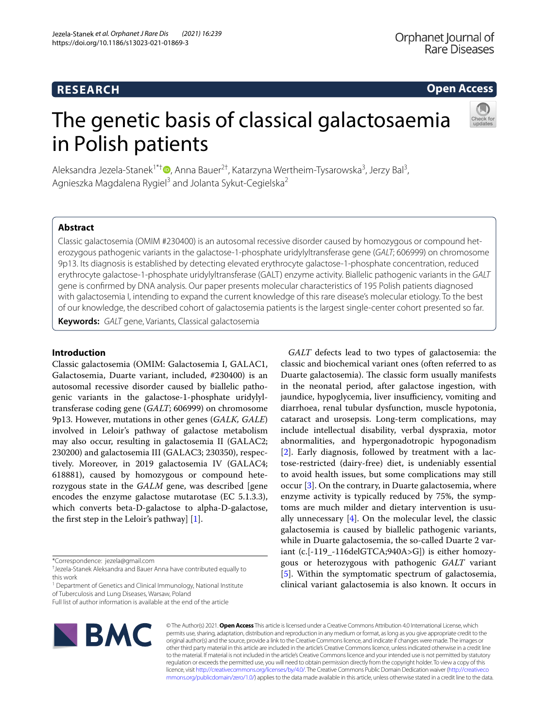# **Open Access**

# The genetic basis of classical galactosaemia in Polish patients



Aleksandra Jezela-Stanek<sup>1\*†</sup> D[,](http://orcid.org/0000-0001-9814-0324) Anna Bauer<sup>2†</sup>, Katarzyna Wertheim-Tysarowska<sup>3</sup>, Jerzy Bal<sup>3</sup>, Agnieszka Magdalena Rygiel<sup>3</sup> and Jolanta Sykut-Cegielska<sup>2</sup>

# **Abstract**

Classic galactosemia (OMIM #230400) is an autosomal recessive disorder caused by homozygous or compound het‑ erozygous pathogenic variants in the galactose-1-phosphate uridylyltransferase gene (*GALT*; 606999) on chromosome 9p13. Its diagnosis is established by detecting elevated erythrocyte galactose-1-phosphate concentration, reduced erythrocyte galactose-1-phosphate uridylyltransferase (GALT) enzyme activity. Biallelic pathogenic variants in the *GALT* gene is confrmed by DNA analysis. Our paper presents molecular characteristics of 195 Polish patients diagnosed with galactosemia I, intending to expand the current knowledge of this rare disease's molecular etiology. To the best of our knowledge, the described cohort of galactosemia patients is the largest single-center cohort presented so far.

**Keywords:** *GALT* gene, Variants, Classical galactosemia

## **Introduction**

Classic galactosemia (OMIM: Galactosemia I, GALAC1, Galactosemia, Duarte variant, included, #230400) is an autosomal recessive disorder caused by biallelic pathogenic variants in the galactose-1-phosphate uridylyltransferase coding gene (*GALT*; 606999) on chromosome 9p13. However, mutations in other genes (*GALK, GALE*) involved in Leloir's pathway of galactose metabolism may also occur, resulting in galactosemia II (GALAC2; 230200) and galactosemia III (GALAC3; 230350), respectively. Moreover, in 2019 galactosemia IV (GALAC4; 618881), caused by homozygous or compound heterozygous state in the *GALM* gene, was described [gene encodes the enzyme galactose mutarotase (EC 5.1.3.3), which converts beta-D-galactose to alpha-D-galactose, the first step in the Leloir's pathway]  $[1]$  $[1]$ .

Full list of author information is available at the end of the article



© The Author(s) 2021. **Open Access** This article is licensed under a Creative Commons Attribution 4.0 International License, which permits use, sharing, adaptation, distribution and reproduction in any medium or format, as long as you give appropriate credit to the original author(s) and the source, provide a link to the Creative Commons licence, and indicate if changes were made. The images or other third party material in this article are included in the article's Creative Commons licence, unless indicated otherwise in a credit line to the material. If material is not included in the article's Creative Commons licence and your intended use is not permitted by statutory regulation or exceeds the permitted use, you will need to obtain permission directly from the copyright holder. To view a copy of this licence, visit [http://creativecommons.org/licenses/by/4.0/.](http://creativecommons.org/licenses/by/4.0/) The Creative Commons Public Domain Dedication waiver ([http://creativeco](http://creativecommons.org/publicdomain/zero/1.0/) [mmons.org/publicdomain/zero/1.0/](http://creativecommons.org/publicdomain/zero/1.0/)) applies to the data made available in this article, unless otherwise stated in a credit line to the data.

*GALT* defects lead to two types of galactosemia: the classic and biochemical variant ones (often referred to as Duarte galactosemia). The classic form usually manifests in the neonatal period, after galactose ingestion, with jaundice, hypoglycemia, liver insufficiency, vomiting and diarrhoea, renal tubular dysfunction, muscle hypotonia, cataract and urosepsis. Long-term complications, may include intellectual disability, verbal dyspraxia, motor abnormalities, and hypergonadotropic hypogonadism [[2\]](#page-6-1). Early diagnosis, followed by treatment with a lactose-restricted (dairy-free) diet, is undeniably essential to avoid health issues, but some complications may still occur [\[3](#page-6-2)]. On the contrary, in Duarte galactosemia, where enzyme activity is typically reduced by 75%, the symptoms are much milder and dietary intervention is usually unnecessary  $[4]$  $[4]$ . On the molecular level, the classic galactosemia is caused by biallelic pathogenic variants, while in Duarte galactosemia, the so-called Duarte 2 variant (c.[-119\_-116delGTCA;940A>G]) is either homozygous or heterozygous with pathogenic *GALT* variant [[5\]](#page-6-4). Within the symptomatic spectrum of galactosemia, clinical variant galactosemia is also known. It occurs in

<sup>\*</sup>Correspondence: jezela@gmail.com

<sup>†</sup> Jezela-Stanek Aleksandra and Bauer Anna have contributed equally to this work

<sup>&</sup>lt;sup>1</sup> Department of Genetics and Clinical Immunology, National Institute of Tuberculosis and Lung Diseases, Warsaw, Poland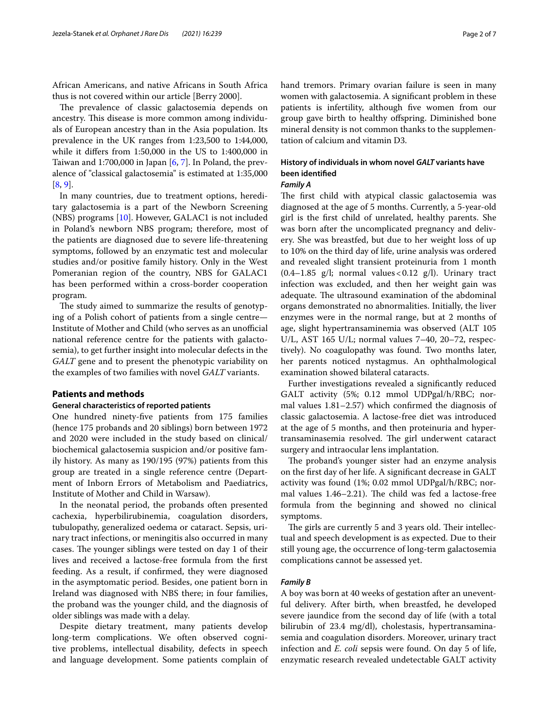African Americans, and native Africans in South Africa thus is not covered within our article [Berry 2000].

The prevalence of classic galactosemia depends on ancestry. This disease is more common among individuals of European ancestry than in the Asia population. Its prevalence in the UK ranges from 1:23,500 to 1:44,000, while it difers from 1:50,000 in the US to 1:400,000 in Taiwan and 1:700,000 in Japan [[6,](#page-6-5) [7](#page-6-6)]. In Poland, the prevalence of "classical galactosemia" is estimated at 1:35,000 [[8,](#page-6-7) [9](#page-6-8)].

In many countries, due to treatment options, hereditary galactosemia is a part of the Newborn Screening (NBS) programs [\[10](#page-6-9)]. However, GALAC1 is not included in Poland's newborn NBS program; therefore, most of the patients are diagnosed due to severe life-threatening symptoms, followed by an enzymatic test and molecular studies and/or positive family history. Only in the West Pomeranian region of the country, NBS for GALAC1 has been performed within a cross-border cooperation program.

The study aimed to summarize the results of genotyping of a Polish cohort of patients from a single centre— Institute of Mother and Child (who serves as an unofficial national reference centre for the patients with galactosemia), to get further insight into molecular defects in the *GALT* gene and to present the phenotypic variability on the examples of two families with novel *GALT* variants.

## **Patients and methods**

## **General characteristics of reported patients**

One hundred ninety-fve patients from 175 families (hence 175 probands and 20 siblings) born between 1972 and 2020 were included in the study based on clinical/ biochemical galactosemia suspicion and/or positive family history. As many as 190/195 (97%) patients from this group are treated in a single reference centre (Department of Inborn Errors of Metabolism and Paediatrics, Institute of Mother and Child in Warsaw).

In the neonatal period, the probands often presented cachexia, hyperbilirubinemia, coagulation disorders, tubulopathy, generalized oedema or cataract. Sepsis, urinary tract infections, or meningitis also occurred in many cases. The younger siblings were tested on day 1 of their lives and received a lactose-free formula from the frst feeding. As a result, if confrmed, they were diagnosed in the asymptomatic period. Besides, one patient born in Ireland was diagnosed with NBS there; in four families, the proband was the younger child, and the diagnosis of older siblings was made with a delay.

Despite dietary treatment, many patients develop long-term complications. We often observed cognitive problems, intellectual disability, defects in speech and language development. Some patients complain of hand tremors. Primary ovarian failure is seen in many women with galactosemia. A signifcant problem in these patients is infertility, although five women from our group gave birth to healthy ofspring. Diminished bone mineral density is not common thanks to the supplementation of calcium and vitamin D3.

# **History of individuals in whom novel** *GALT* **variants have been identifed**

## *Family A*

The first child with atypical classic galactosemia was diagnosed at the age of 5 months. Currently, a 5-year-old girl is the frst child of unrelated, healthy parents. She was born after the uncomplicated pregnancy and delivery. She was breastfed, but due to her weight loss of up to 10% on the third day of life, urine analysis was ordered and revealed slight transient proteinuria from 1 month  $(0.4-1.85 \text{ g/l}; \text{normal values} < 0.12 \text{ g/l}).$  Urinary tract infection was excluded, and then her weight gain was adequate. The ultrasound examination of the abdominal organs demonstrated no abnormalities. Initially, the liver enzymes were in the normal range, but at 2 months of age, slight hypertransaminemia was observed (ALT 105 U/L, AST 165 U/L; normal values 7–40, 20–72, respectively). No coagulopathy was found. Two months later, her parents noticed nystagmus. An ophthalmological examination showed bilateral cataracts.

Further investigations revealed a signifcantly reduced GALT activity (5%; 0.12 mmol UDPgal/h/RBC; normal values 1.81–2.57) which confrmed the diagnosis of classic galactosemia. A lactose-free diet was introduced at the age of 5 months, and then proteinuria and hypertransaminasemia resolved. The girl underwent cataract surgery and intraocular lens implantation.

The proband's younger sister had an enzyme analysis on the frst day of her life. A signifcant decrease in GALT activity was found (1%; 0.02 mmol UDPgal/h/RBC; normal values  $1.46-2.21$ ). The child was fed a lactose-free formula from the beginning and showed no clinical symptoms.

The girls are currently 5 and 3 years old. Their intellectual and speech development is as expected. Due to their still young age, the occurrence of long-term galactosemia complications cannot be assessed yet.

## *Family B*

A boy was born at 40 weeks of gestation after an uneventful delivery. After birth, when breastfed, he developed severe jaundice from the second day of life (with a total bilirubin of 23.4 mg/dl), cholestasis, hypertransaminasemia and coagulation disorders. Moreover, urinary tract infection and *E. coli* sepsis were found. On day 5 of life, enzymatic research revealed undetectable GALT activity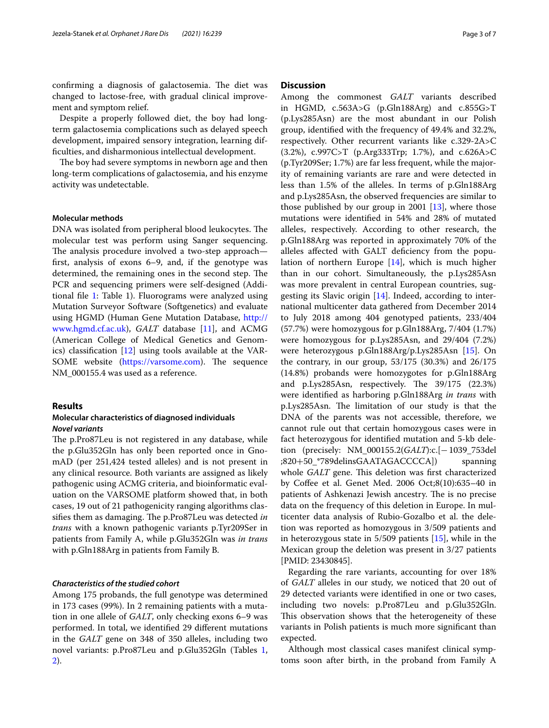confirming a diagnosis of galactosemia. The diet was changed to lactose-free, with gradual clinical improvement and symptom relief.

Despite a properly followed diet, the boy had longterm galactosemia complications such as delayed speech development, impaired sensory integration, learning diffculties, and disharmonious intellectual development.

The boy had severe symptoms in newborn age and then long-term complications of galactosemia, and his enzyme activity was undetectable.

## **Molecular methods**

DNA was isolated from peripheral blood leukocytes. The molecular test was perform using Sanger sequencing. The analysis procedure involved a two-step approach frst, analysis of exons 6–9, and, if the genotype was determined, the remaining ones in the second step. The PCR and sequencing primers were self-designed (Additional fle [1:](#page-5-0) Table 1). Fluorograms were analyzed using Mutation Surveyor Software (Softgenetics) and evaluate using HGMD (Human Gene Mutation Database, [http://](http://www.hgmd.cf.ac.uk) [www.hgmd.cf.ac.uk\)](http://www.hgmd.cf.ac.uk), *GALT* database [\[11](#page-6-10)], and ACMG (American College of Medical Genetics and Genomics) classifcation [\[12](#page-6-11)] using tools available at the VARSOME website (<https://varsome.com>). The sequence NM\_000155.4 was used as a reference.

## **Results**

## **Molecular characteristics of diagnosed individuals** *Novel variants*

The p.Pro87Leu is not registered in any database, while the p.Glu352Gln has only been reported once in GnomAD (per 251,424 tested alleles) and is not present in any clinical resource. Both variants are assigned as likely pathogenic using ACMG criteria, and bioinformatic evaluation on the VARSOME platform showed that, in both cases, 19 out of 21 pathogenicity ranging algorithms classifies them as damaging. The p.Pro87Leu was detected in *trans* with a known pathogenic variants p.Tyr209Ser in patients from Family A, while p.Glu352Gln was *in trans* with p.Gln188Arg in patients from Family B.

## *Characteristics of the studied cohort*

Among 175 probands, the full genotype was determined in 173 cases (99%). In 2 remaining patients with a mutation in one allele of *GALT*, only checking exons 6–9 was performed. In total, we identifed 29 diferent mutations in the *GALT* gene on 348 of 350 alleles, including two novel variants: p.Pro87Leu and p.Glu352Gln (Tables [1](#page-3-0), [2\)](#page-4-0).

## **Discussion**

Among the commonest *GALT* variants described in HGMD, c.563A>G (p.Gln188Arg) and c.855G>T (p.Lys285Asn) are the most abundant in our Polish group, identifed with the frequency of 49.4% and 32.2%, respectively. Other recurrent variants like c.329-2A>C (3.2%), c.997C>T (p.Arg333Trp; 1.7%), and c.626A>C (p.Tyr209Ser; 1.7%) are far less frequent, while the majority of remaining variants are rare and were detected in less than 1.5% of the alleles. In terms of p.Gln188Arg and p.Lys285Asn, the observed frequencies are similar to those published by our group in 2001  $[13]$  $[13]$  $[13]$ , where those mutations were identifed in 54% and 28% of mutated alleles, respectively. According to other research, the p.Gln188Arg was reported in approximately 70% of the alleles afected with GALT defciency from the population of northern Europe [\[14\]](#page-6-13), which is much higher than in our cohort. Simultaneously, the p.Lys285Asn was more prevalent in central European countries, suggesting its Slavic origin [\[14](#page-6-13)]. Indeed, according to international multicenter data gathered from December 2014 to July 2018 among 404 genotyped patients, 233/404 (57.7%) were homozygous for p.Gln188Arg, 7/404 (1.7%) were homozygous for p.Lys285Asn, and 29/404 (7.2%) were heterozygous p.Gln188Arg/p.Lys285Asn [\[15](#page-6-14)]. On the contrary, in our group, 53/175 (30.3%) and 26/175 (14.8%) probands were homozygotes for p.Gln188Arg and p.Lys285Asn, respectively. The  $39/175$  (22.3%) were identifed as harboring p.Gln188Arg *in trans* with p.Lys285Asn. The limitation of our study is that the DNA of the parents was not accessible, therefore, we cannot rule out that certain homozygous cases were in fact heterozygous for identifed mutation and 5-kb deletion (precisely: NM\_000155.2(*GALT*):c.[−1039\_753del ;820+50\_\*789delinsGAATAGACCCCA]) spanning whole *GALT* gene. This deletion was first characterized by Cofee et al. Genet Med. 2006 Oct;8(10):635–40 in patients of Ashkenazi Jewish ancestry. The is no precise data on the frequency of this deletion in Europe. In multicenter data analysis of Rubio-Gozalbo et al. the deletion was reported as homozygous in 3/509 patients and in heterozygous state in 5/509 patients [\[15](#page-6-14)], while in the Mexican group the deletion was present in 3/27 patients [PMID: 23430845].

Regarding the rare variants, accounting for over 18% of *GALT* alleles in our study, we noticed that 20 out of 29 detected variants were identifed in one or two cases, including two novels: p.Pro87Leu and p.Glu352Gln. This observation shows that the heterogeneity of these variants in Polish patients is much more signifcant than expected.

Although most classical cases manifest clinical symptoms soon after birth, in the proband from Family A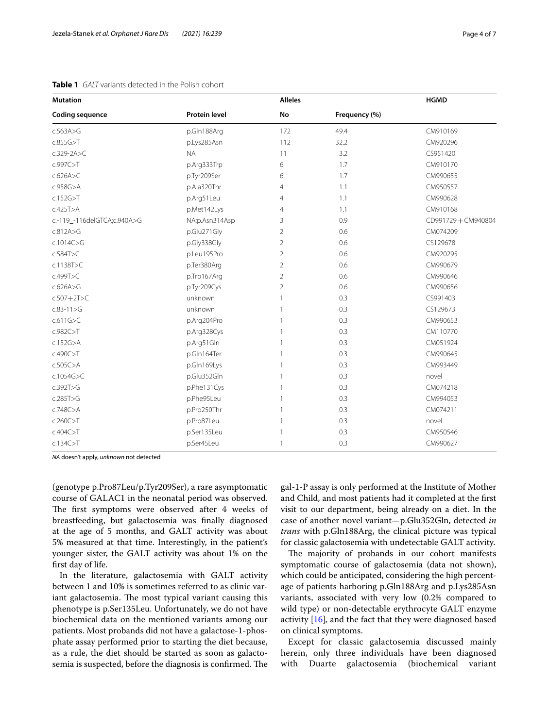| <b>Mutation</b>             | <b>Alleles</b>       |                | <b>HGMD</b>   |                   |  |
|-----------------------------|----------------------|----------------|---------------|-------------------|--|
| <b>Coding sequence</b>      | <b>Protein level</b> | No             | Frequency (%) |                   |  |
| c.563A > G                  | p.Gln188Arg          | 172            | 49.4          | CM910169          |  |
| c.855G > T                  | p.Lys285Asn          | 112            | 32.2          | CM920296          |  |
| $c.329-2A > C$              | <b>NA</b>            | 11             | 3.2           | CS951420          |  |
| c.997C>T                    | p.Arg333Trp          | 6              | 1.7           | CM910170          |  |
| c.626A > C                  | p.Tyr209Ser          | 6              | 1.7           | CM990655          |  |
| $c.958G$ >A                 | p.Ala320Thr          | 4              | 1.1           | CM950557          |  |
| c.152G > T                  | p.Arg51Leu           | 4              | 1.1           | CM990628          |  |
| c.425T>A                    | p.Met142Lys          | 4              | 1.1           | CM910168          |  |
| c.-119_-116delGTCA;c.940A>G | NA;p.Asn314Asp       | 3              | 0.9           | CD991729+CM940804 |  |
| c.812A>G                    | p.Glu271Gly          | 2              | 0.6           | CM074209          |  |
| c.1014C > G                 | p.Gly338Gly          | 2              | 0.6           | CS129678          |  |
| c.584T>C                    | p.Leu195Pro          | $\overline{2}$ | 0.6           | CM920295          |  |
| c.1138T>C                   | p.Ter380Arg          | 2              | 0.6           | CM990679          |  |
| c.499T>C                    | p.Trp167Arg          | 2              | 0.6           | CM990646          |  |
| c.626A>G                    | p.Tyr209Cys          | 2              | 0.6           | CM990656          |  |
| $c.507+2T>C$                | unknown              | 1              | 0.3           | CS991403          |  |
| $c.83 - 11 > G$             | unknown              | 1              | 0.3           | CS129673          |  |
| c.611G > C                  | p.Arg204Pro          | 1              | 0.3           | CM990653          |  |
| c.982C>T                    | p.Arg328Cys          | 1              | 0.3           | CM110770          |  |
| c.152G > A                  | p.Arg51Gln           | 1              | 0.3           | CM051924          |  |
| c.490C>T                    | p.Gln164Ter          | 1              | 0.3           | CM990645          |  |
| c.505C > A                  | p.Gln169Lys          | 1              | 0.3           | CM993449          |  |
| c.1054G>C                   | p.Glu352Gln          | 1              | 0.3           | novel             |  |
| c.392T>G                    | p.Phe131Cys          | 1              | 0.3           | CM074218          |  |
| c.285T>G                    | p.Phe95Leu           | 1              | 0.3           | CM994053          |  |
| c.748C > A                  | p.Pro250Thr          | 1              | 0.3           | CM074211          |  |
| c.260C > T                  | p.Pro87Leu           |                | 0.3           | novel             |  |
| c.404C > T                  | p.Ser135Leu          | 1              | 0.3           | CM950546          |  |
| c.134C > T                  | p.Ser45Leu           | 1              | 0.3           | CM990627          |  |

<span id="page-3-0"></span>

| <b>Table 1</b> GALT variants detected in the Polish cohort |
|------------------------------------------------------------|
|------------------------------------------------------------|

*NA* doesn't apply, *unknown* not detected

(genotype p.Pro87Leu/p.Tyr209Ser), a rare asymptomatic course of GALAC1 in the neonatal period was observed. The first symptoms were observed after 4 weeks of breastfeeding, but galactosemia was fnally diagnosed at the age of 5 months, and GALT activity was about 5% measured at that time. Interestingly, in the patient's younger sister, the GALT activity was about 1% on the frst day of life.

In the literature, galactosemia with GALT activity between 1 and 10% is sometimes referred to as clinic variant galactosemia. The most typical variant causing this phenotype is p.Ser135Leu. Unfortunately, we do not have biochemical data on the mentioned variants among our patients. Most probands did not have a galactose-1-phosphate assay performed prior to starting the diet because, as a rule, the diet should be started as soon as galactosemia is suspected, before the diagnosis is confirmed. The gal-1-P assay is only performed at the Institute of Mother and Child, and most patients had it completed at the frst visit to our department, being already on a diet. In the case of another novel variant—p.Glu352Gln, detected *in trans* with p.Gln188Arg, the clinical picture was typical for classic galactosemia with undetectable GALT activity.

The majority of probands in our cohort manifests symptomatic course of galactosemia (data not shown), which could be anticipated, considering the high percentage of patients harboring p.Gln188Arg and p.Lys285Asn variants, associated with very low (0.2% compared to wild type) or non-detectable erythrocyte GALT enzyme activity [\[16](#page-6-15)]*,* and the fact that they were diagnosed based on clinical symptoms.

Except for classic galactosemia discussed mainly herein, only three individuals have been diagnosed with Duarte galactosemia (biochemical variant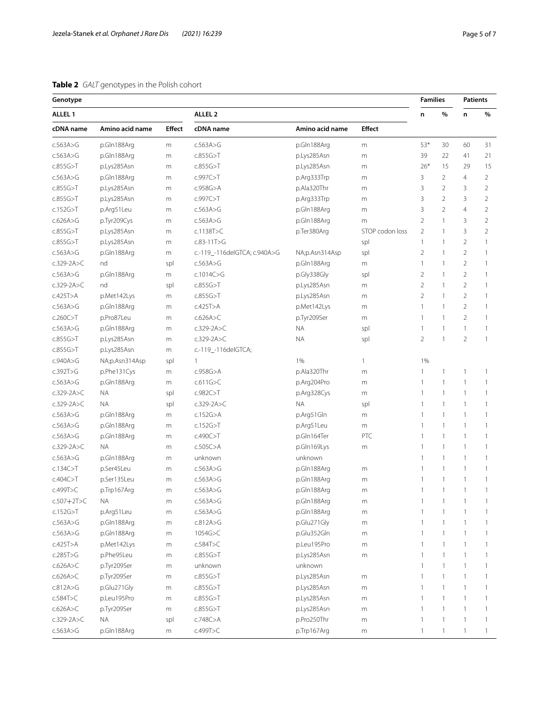# <span id="page-4-0"></span>**Table 2** *GALT* genotypes in the Polish cohort

| Genotype           |                 |               |                              |                 | <b>Families</b> |                |                          | <b>Patients</b> |                |
|--------------------|-----------------|---------------|------------------------------|-----------------|-----------------|----------------|--------------------------|-----------------|----------------|
| ALLEL <sub>1</sub> |                 |               | ALLEL <sub>2</sub>           |                 |                 | n              | $\%$                     | n               | $\%$           |
| cDNA name          | Amino acid name | <b>Effect</b> | cDNA name                    | Amino acid name | <b>Effect</b>   |                |                          |                 |                |
| c.563A > G         | p.Gln188Arg     | m             | c.563A>G                     | p.Gln188Arg     | m               | 53*            | 30                       | 60              | 31             |
| c.563A > G         | p.Gln188Arg     | m             | c.855G > T                   | p.Lys285Asn     | m               | 39             | 22                       | 41              | 21             |
| c.855G > T         | p.Lys285Asn     | m             | c.855G > T                   | p.Lys285Asn     | m               | $26*$          | 15                       | 29              | 15             |
| c.563A > G         | p.Gln188Arg     | m             | c.997C > T                   | p.Arg333Trp     | m               | 3              | $\overline{2}$           | $\overline{4}$  | $\overline{2}$ |
| c.855G > T         | p.Lys285Asn     | m             | $c.958G$ >A                  | p.Ala320Thr     | m               | 3              | $\overline{2}$           | 3               | $\overline{2}$ |
| c.855G > T         | p.Lys285Asn     | m             | c.997C > T                   | p.Arg333Trp     | m               | 3              | $\overline{2}$           | 3               | $\overline{2}$ |
| c.152G > T         | p.Arg51Leu      | m             | c.563A > G                   | p.Gln188Arg     | m               | 3              | $\overline{2}$           | $\overline{4}$  | $\overline{2}$ |
| c.626A>G           | p.Tyr209Cys     | m             | c.563A > G                   | p.Gln188Arg     | m               | $\overline{2}$ | $\mathbf{1}$             | 3               | $\overline{2}$ |
| c.855G > T         | p.Lys285Asn     | m             | c.1138T > C                  | p.Ter380Arg     | STOP codon loss | $\overline{2}$ | $\mathbf{1}$             | 3               | $\overline{2}$ |
| c.855G > T         | p.Lys285Asn     | m             | $c.83 - 11T > G$             |                 | spl             | $\mathbf{1}$   | 1                        | $\overline{2}$  | 1              |
| c.563A > G         | p.Gln188Arg     | m             | c.-119_-116delGTCA; c.940A>G | NA;p.Asn314Asp  | spl             | $\overline{2}$ | $\mathbf{1}$             | 2               | 1              |
| $c.329-2A>C$       | nd              | spl           | c.563A > G                   | p.Gln188Arg     | m               | $\mathbf{1}$   | 1                        | $\overline{2}$  | 1              |
| c.563A > G         | p.Gln188Arg     | m             | c.1014 $C > G$               | p.Gly338Gly     | spl             | $\overline{2}$ | 1                        | 2               | 1              |
| $c.329-2A>C$       | nd              | spl           | c.855G > T                   | p.Lys285Asn     | m               | $\overline{2}$ | 1                        | 2               | 1              |
| c.425T>A           | p.Met142Lys     | m             | c.855G > T                   | p.Lys285Asn     | m               | $\overline{2}$ | 1                        | $\overline{2}$  | 1              |
| c.563A>G           | p.Gln188Arg     | m             | $c.425T$ >A                  | p.Met142Lys     | m               | $\mathbf{1}$   | 1                        | 2               | 1              |
| c.260C > T         | p.Pro87Leu      | m             | c.626A > C                   | p.Tyr209Ser     | m               | $\mathbf{1}$   | 1                        | $\overline{2}$  | 1              |
| c.563A > G         | p.Gln188Arg     | m             | $c.329-2A>C$                 | <b>NA</b>       | spl             | 1              | 1                        | 1               | 1              |
| c.855G > T         | p.Lys285Asn     | m             | $c.329-2A>C$                 | ΝA              | spl             | $\overline{2}$ | $\mathbf{1}$             | $\overline{2}$  | 1              |
| c.855G > T         | p.Lys285Asn     | m             | c.-119_-116delGTCA;          |                 |                 |                |                          |                 |                |
| c.940A > G         | NA;p.Asn314Asp  | spl           | $\mathbf{1}$                 | 1%              | 1               | 1%             |                          |                 |                |
| c.392T>G           | p.Phe131Cys     | m             | c.958G>A                     | p.Ala320Thr     | m               | 1              | 1                        | 1               | 1              |
| c.563A > G         | p.Gln188Arg     | m             | c.611G > C                   | p.Arg204Pro     | m               | 1              | $\mathbf{1}$             | 1               | 1              |
| $c.329-2A>C$       | ΝA              | spl           | c.982C > T                   | p.Arg328Cys     | m               | $\mathbf{1}$   | $\mathbf{1}$             | $\mathbf{1}$    | 1              |
| $c.329-2A > C$     | ΝA              | spl           | $c.329-2A>C$                 | <b>NA</b>       | spl             | $\mathbf{1}$   | $\mathbf{1}$             | 1               | 1              |
| c.563A > G         | p.Gln188Arg     | m             | c.152G > A                   | p.Arg51Gln      | m               | $\mathbf{1}$   | $\mathbf{1}$             | $\mathbf{1}$    | 1              |
| c.563A > G         | p.Gln188Arg     | m             | c.152G > T                   | p.Arg51Leu      | m               | $\mathbf{1}$   | $\mathbf{1}$             | $\mathbf{1}$    | 1              |
| c.563A > G         | p.Gln188Arg     | m             | c.490C > T                   | p.Gln164Ter     | PTC             | $\mathbf{1}$   | $\mathbf{1}$             | $\mathbf{1}$    | 1              |
| $c.329-2A>C$       | ΝA              | m             | $c.505C$ >A                  | p.Gln169Lys     | m               | 1              | $\mathbf{1}$             | 1               | 1              |
| c.563A > G         | p.Gln188Arg     | m             | unknown                      | unknown         |                 | $\mathbf{1}$   | $\overline{1}$           | $\mathbf{1}$    | 1              |
| c.134C > T         | p.Ser45Leu      | m             | c.563A>G                     | p.Gln188Arg     | m               | $\mathbf{1}$   | $\mathbf{1}$             | 1               | $\mathbf{1}$   |
| c.404C > T         | p.Ser135Leu     | m             | c.563A>G                     | p.Gln188Arg     | m               | $\mathbf{1}$   | $\mathbf{1}$             | 1               | $\mathbf{1}$   |
| c.499T>C           | p.Trp167Arg     | m             | c.563A>G                     | p.Gln188Arg     | m               | $\mathbf{1}$   | $\mathbf{1}$             | 1               | 1              |
| $c.507 + 2T > C$   | NA.             | m             | c.563A>G                     | p.Gln188Arg     | m               | 1              | 1                        |                 |                |
| c.152G > T         | p.Arg51Leu      | ${\sf m}$     | c.563A > G                   | p.Gln188Arg     | ${\sf m}$       | 1              | 1                        | 1               | 1              |
| c.563A > G         | p.Gln188Arg     | ${\sf m}$     | c.812A > G                   | p.Glu271Gly     | ${\sf m}$       | 1              | 1                        |                 | 1.             |
| c.563A > G         | p.Gln188Arg     | m             | 1054G>C                      | p.Glu352Gln     | ${\sf m}$       | $\mathbf{1}$   | $\mathbf{1}$             | 1               | 1.             |
| $c.425T$ >A        | p.Met142Lys     | m             | c.584T > C                   | p.Leu195Pro     | m               | 1              | $\mathbf{1}$             | 1               | 1              |
| c.285T>G           | p.Phe95Leu      | m             | c.855G > T                   | p.Lys285Asn     | m               | $\mathbf{1}$   | $\mathbf{1}$             | 1               | 1              |
| c.626A > C         | p.Tyr209Ser     |               | unknown                      | unknown         |                 | $\mathbf{1}$   | $\mathbf{1}$             | 1               | 1              |
| c.626A > C         | p.Tyr209Ser     | m             | c.855G > T                   | p.Lys285Asn     |                 | $\mathbf{1}$   | $\mathbf{1}$             | 1               | 1              |
| c.812A > G         | p.Glu271Gly     | m             | c.855G > T                   | p.Lys285Asn     | ${\sf m}$       |                |                          | 1               |                |
|                    |                 | m             |                              |                 | ${\sf m}$       | $\mathbf{1}$   | $\mathbf{1}$             |                 | 1              |
| c.584T > C         | p.Leu195Pro     | m             | c.855G > T                   | p.Lys285Asn     | ${\sf m}$       | $\mathbf{1}$   | $\mathbf{1}$             | 1               | 1              |
| c.626A > C         | p.Tyr209Ser     | m             | c.855G > T                   | p.Lys285Asn     | ${\sf m}$       | $\mathbf{1}$   | $\mathbf{1}$             | $\mathbf{1}$    | 1              |
| $c.329-2A>C$       | <b>NA</b>       | spl           | c.748 $C$ >A                 | p.Pro250Thr     | ${\sf m}$       | $\mathbf{1}$   | $\overline{\phantom{a}}$ | $\mathbf{1}$    | 1              |
| c.563A > G         | p.Gln188Arg     | m             | c.499T>C                     | p.Trp167Arg     | ${\sf m}$       | $\mathbf{1}$   | $\mathbf{1}$             | $\mathbf{1}$    | $\mathbf{1}$   |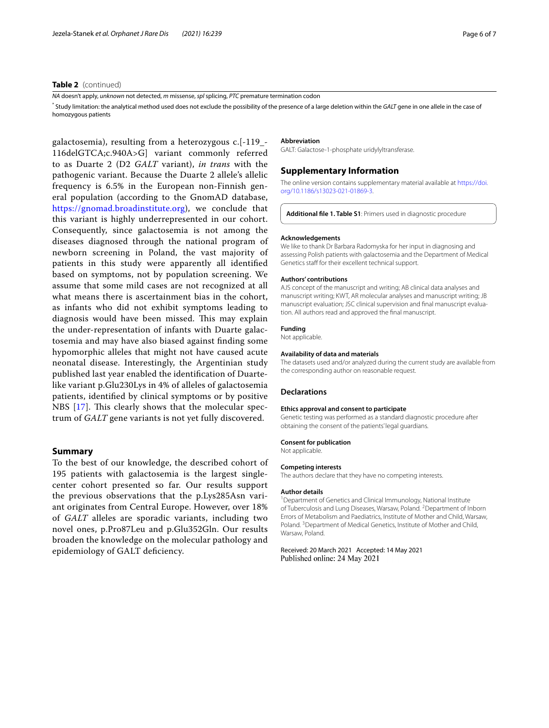## **Table 2** (continued)

*NA* doesn't apply, *unknown* not detected, *m* missense, *spl* splicing, *PTC* premature termination codon

\* Study limitation: the analytical method used does not exclude the possibility of the presence of a large deletion within the *GALT* gene in one allele in the case of homozygous patients

galactosemia), resulting from a heterozygous c.[-119\_- 116delGTCA;c.940A>G] variant commonly referred to as Duarte 2 (D2 *GALT* variant), *in trans* with the pathogenic variant. Because the Duarte 2 allele's allelic frequency is 6.5% in the European non-Finnish general population (according to the GnomAD database, [https://gnomad.broadinstitute.org\)](https://gnomad.broadinstitute.org), we conclude that this variant is highly underrepresented in our cohort. Consequently, since galactosemia is not among the diseases diagnosed through the national program of newborn screening in Poland, the vast majority of patients in this study were apparently all identifed based on symptoms, not by population screening. We assume that some mild cases are not recognized at all what means there is ascertainment bias in the cohort, as infants who did not exhibit symptoms leading to diagnosis would have been missed. This may explain the under-representation of infants with Duarte galactosemia and may have also biased against fnding some hypomorphic alleles that might not have caused acute neonatal disease. Interestingly, the Argentinian study published last year enabled the identifcation of Duartelike variant p.Glu230Lys in 4% of alleles of galactosemia patients, identifed by clinical symptoms or by positive NBS  $[17]$  $[17]$ . This clearly shows that the molecular spectrum of *GALT* gene variants is not yet fully discovered.

## **Summary**

To the best of our knowledge, the described cohort of 195 patients with galactosemia is the largest singlecenter cohort presented so far. Our results support the previous observations that the p.Lys285Asn variant originates from Central Europe. However, over 18% of *GALT* alleles are sporadic variants, including two novel ones, p.Pro87Leu and p.Glu352Gln. Our results broaden the knowledge on the molecular pathology and epidemiology of GALT defciency.

#### **Abbreviation**

GALT: Galactose-1-phosphate uridylyltransferase.

## **Supplementary Information**

The online version contains supplementary material available at [https://doi.](https://doi.org/10.1186/s13023-021-01869-3) [org/10.1186/s13023-021-01869-3](https://doi.org/10.1186/s13023-021-01869-3).

<span id="page-5-0"></span>**Additional fle 1. Table S1**: Primers used in diagnostic procedure

#### **Acknowledgements**

We like to thank Dr Barbara Radomyska for her input in diagnosing and assessing Polish patients with galactosemia and the Department of Medical Genetics staff for their excellent technical support.

#### **Authors' contributions**

AJS concept of the manuscript and writing; AB clinical data analyses and manuscript writing; KWT, AR molecular analyses and manuscript writing; JB manuscript evaluation: JSC clinical supervision and final manuscript evaluation. All authors read and approved the fnal manuscript.

#### **Funding** Not applicable.

## **Availability of data and materials**

The datasets used and/or analyzed during the current study are available from the corresponding author on reasonable request.

#### **Declarations**

#### **Ethics approval and consent to participate**

Genetic testing was performed as a standard diagnostic procedure after obtaining the consent of the patients' legal guardians.

#### **Consent for publication**

Not applicable.

#### **Competing interests**

The authors declare that they have no competing interests.

#### **Author details**

<sup>1</sup> Department of Genetics and Clinical Immunology, National Institute of Tuberculosis and Lung Diseases, Warsaw, Poland. <sup>2</sup> Department of Inborn Errors of Metabolism and Paediatrics, Institute of Mother and Child, Warsaw, Poland.<sup>3</sup> Department of Medical Genetics, Institute of Mother and Child, Warsaw, Poland.

Received: 20 March 2021 Accepted: 14 May 2021 Published online: 24 May 2021